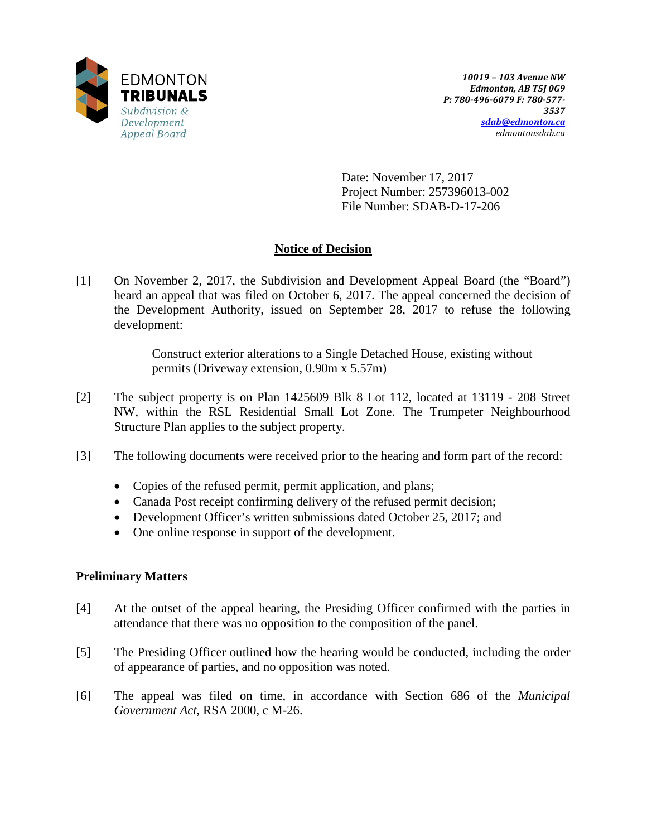

Date: November 17, 2017 Project Number: 257396013-002 File Number: SDAB-D-17-206

# **Notice of Decision**

[1] On November 2, 2017, the Subdivision and Development Appeal Board (the "Board") heard an appeal that was filed on October 6, 2017. The appeal concerned the decision of the Development Authority, issued on September 28, 2017 to refuse the following development:

> Construct exterior alterations to a Single Detached House, existing without permits (Driveway extension, 0.90m x 5.57m)

- [2] The subject property is on Plan 1425609 Blk 8 Lot 112, located at 13119 208 Street NW, within the RSL Residential Small Lot Zone. The Trumpeter Neighbourhood Structure Plan applies to the subject property.
- [3] The following documents were received prior to the hearing and form part of the record:
	- Copies of the refused permit, permit application, and plans;
	- Canada Post receipt confirming delivery of the refused permit decision;
	- Development Officer's written submissions dated October 25, 2017; and
	- One online response in support of the development.

## **Preliminary Matters**

- [4] At the outset of the appeal hearing, the Presiding Officer confirmed with the parties in attendance that there was no opposition to the composition of the panel.
- [5] The Presiding Officer outlined how the hearing would be conducted, including the order of appearance of parties, and no opposition was noted.
- [6] The appeal was filed on time, in accordance with Section 686 of the *Municipal Government Act*, RSA 2000, c M-26.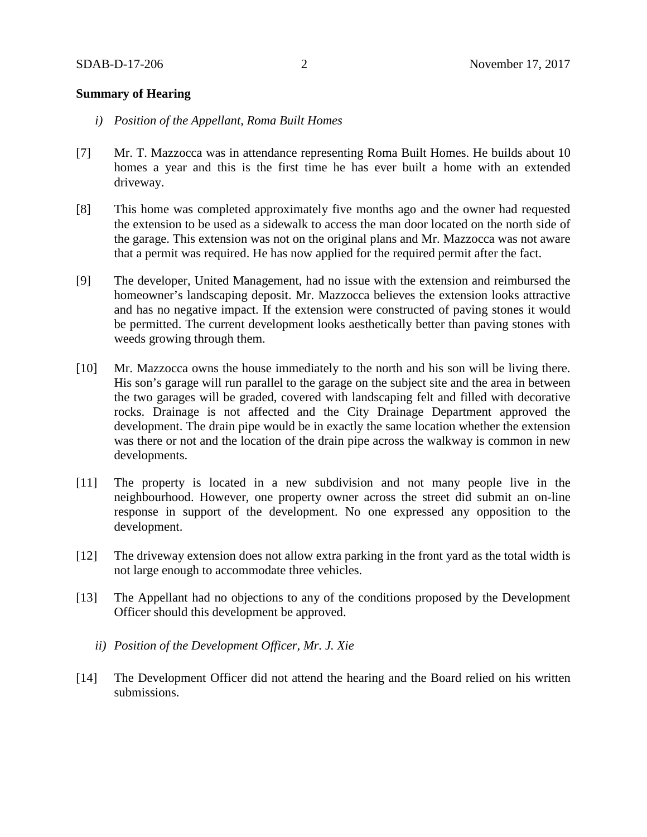## **Summary of Hearing**

- *i) Position of the Appellant, Roma Built Homes*
- [7] Mr. T. Mazzocca was in attendance representing Roma Built Homes. He builds about 10 homes a year and this is the first time he has ever built a home with an extended driveway.
- [8] This home was completed approximately five months ago and the owner had requested the extension to be used as a sidewalk to access the man door located on the north side of the garage. This extension was not on the original plans and Mr. Mazzocca was not aware that a permit was required. He has now applied for the required permit after the fact.
- [9] The developer, United Management, had no issue with the extension and reimbursed the homeowner's landscaping deposit. Mr. Mazzocca believes the extension looks attractive and has no negative impact. If the extension were constructed of paving stones it would be permitted. The current development looks aesthetically better than paving stones with weeds growing through them.
- [10] Mr. Mazzocca owns the house immediately to the north and his son will be living there. His son's garage will run parallel to the garage on the subject site and the area in between the two garages will be graded, covered with landscaping felt and filled with decorative rocks. Drainage is not affected and the City Drainage Department approved the development. The drain pipe would be in exactly the same location whether the extension was there or not and the location of the drain pipe across the walkway is common in new developments.
- [11] The property is located in a new subdivision and not many people live in the neighbourhood. However, one property owner across the street did submit an on-line response in support of the development. No one expressed any opposition to the development.
- [12] The driveway extension does not allow extra parking in the front yard as the total width is not large enough to accommodate three vehicles.
- [13] The Appellant had no objections to any of the conditions proposed by the Development Officer should this development be approved.
	- *ii) Position of the Development Officer, Mr. J. Xie*
- [14] The Development Officer did not attend the hearing and the Board relied on his written submissions.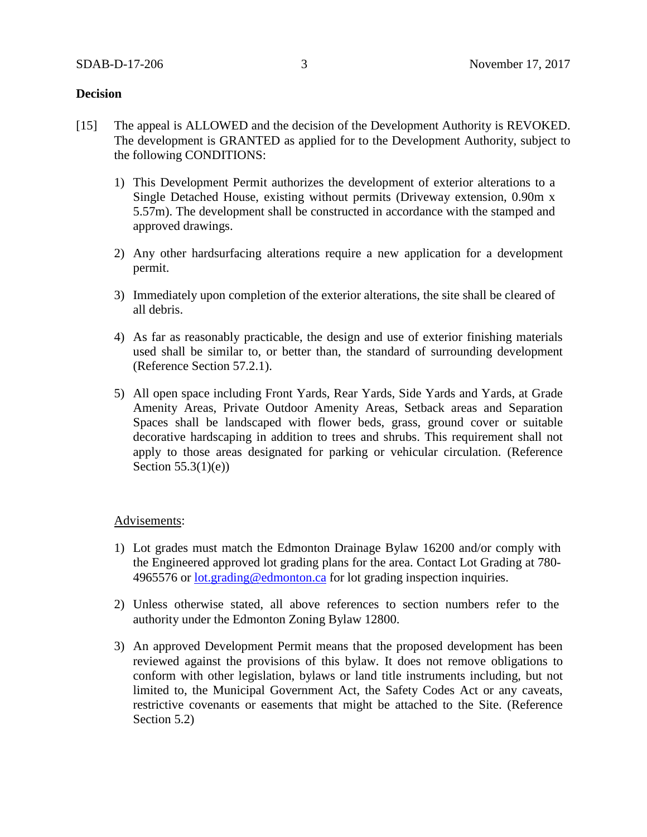## **Decision**

- [15] The appeal is ALLOWED and the decision of the Development Authority is REVOKED. The development is GRANTED as applied for to the Development Authority, subject to the following CONDITIONS:
	- 1) This Development Permit authorizes the development of exterior alterations to a Single Detached House, existing without permits (Driveway extension, 0.90m x 5.57m). The development shall be constructed in accordance with the stamped and approved drawings.
	- 2) Any other hardsurfacing alterations require a new application for a development permit.
	- 3) Immediately upon completion of the exterior alterations, the site shall be cleared of all debris.
	- 4) As far as reasonably practicable, the design and use of exterior finishing materials used shall be similar to, or better than, the standard of surrounding development (Reference Section 57.2.1).
	- 5) All open space including Front Yards, Rear Yards, Side Yards and Yards, at Grade Amenity Areas, Private Outdoor Amenity Areas, Setback areas and Separation Spaces shall be landscaped with flower beds, grass, ground cover or suitable decorative hardscaping in addition to trees and shrubs. This requirement shall not apply to those areas designated for parking or vehicular circulation. (Reference Section  $55.3(1)(e)$ )

## Advisements:

- 1) Lot grades must match the Edmonton Drainage Bylaw 16200 and/or comply with the Engineered approved lot grading plans for the area. Contact Lot Grading at 780 4965576 or [lot.grading@edmonton.ca](mailto:lot.grading@edmonton.ca) for lot grading inspection inquiries.
- 2) Unless otherwise stated, all above references to section numbers refer to the authority under the Edmonton Zoning Bylaw 12800.
- 3) An approved Development Permit means that the proposed development has been reviewed against the provisions of this bylaw. It does not remove obligations to conform with other legislation, bylaws or land title instruments including, but not limited to, the Municipal Government Act, the Safety Codes Act or any caveats, restrictive covenants or easements that might be attached to the Site. (Reference Section 5.2)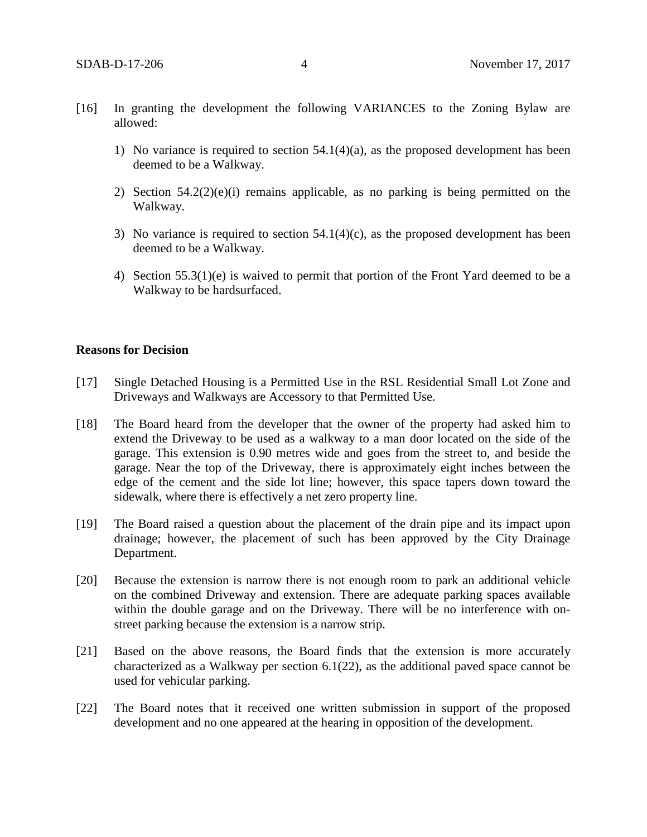- [16] In granting the development the following VARIANCES to the Zoning Bylaw are allowed:
	- 1) No variance is required to section 54.1(4)(a), as the proposed development has been deemed to be a Walkway.
	- 2) Section 54.2(2)(e)(i) remains applicable, as no parking is being permitted on the Walkway.
	- 3) No variance is required to section 54.1(4)(c), as the proposed development has been deemed to be a Walkway.
	- 4) Section 55.3(1)(e) is waived to permit that portion of the Front Yard deemed to be a Walkway to be hardsurfaced.

## **Reasons for Decision**

- [17] Single Detached Housing is a Permitted Use in the RSL Residential Small Lot Zone and Driveways and Walkways are Accessory to that Permitted Use.
- [18] The Board heard from the developer that the owner of the property had asked him to extend the Driveway to be used as a walkway to a man door located on the side of the garage. This extension is 0.90 metres wide and goes from the street to, and beside the garage. Near the top of the Driveway, there is approximately eight inches between the edge of the cement and the side lot line; however, this space tapers down toward the sidewalk, where there is effectively a net zero property line.
- [19] The Board raised a question about the placement of the drain pipe and its impact upon drainage; however, the placement of such has been approved by the City Drainage Department.
- [20] Because the extension is narrow there is not enough room to park an additional vehicle on the combined Driveway and extension. There are adequate parking spaces available within the double garage and on the Driveway. There will be no interference with onstreet parking because the extension is a narrow strip.
- [21] Based on the above reasons, the Board finds that the extension is more accurately characterized as a Walkway per section 6.1(22), as the additional paved space cannot be used for vehicular parking.
- [22] The Board notes that it received one written submission in support of the proposed development and no one appeared at the hearing in opposition of the development.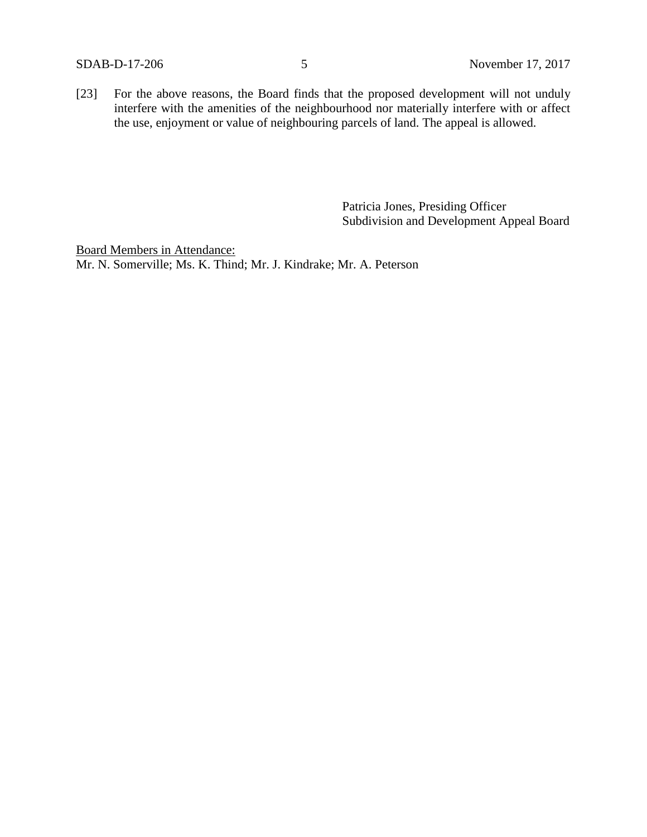[23] For the above reasons, the Board finds that the proposed development will not unduly interfere with the amenities of the neighbourhood nor materially interfere with or affect the use, enjoyment or value of neighbouring parcels of land. The appeal is allowed.

> Patricia Jones, Presiding Officer Subdivision and Development Appeal Board

Board Members in Attendance: Mr. N. Somerville; Ms. K. Thind; Mr. J. Kindrake; Mr. A. Peterson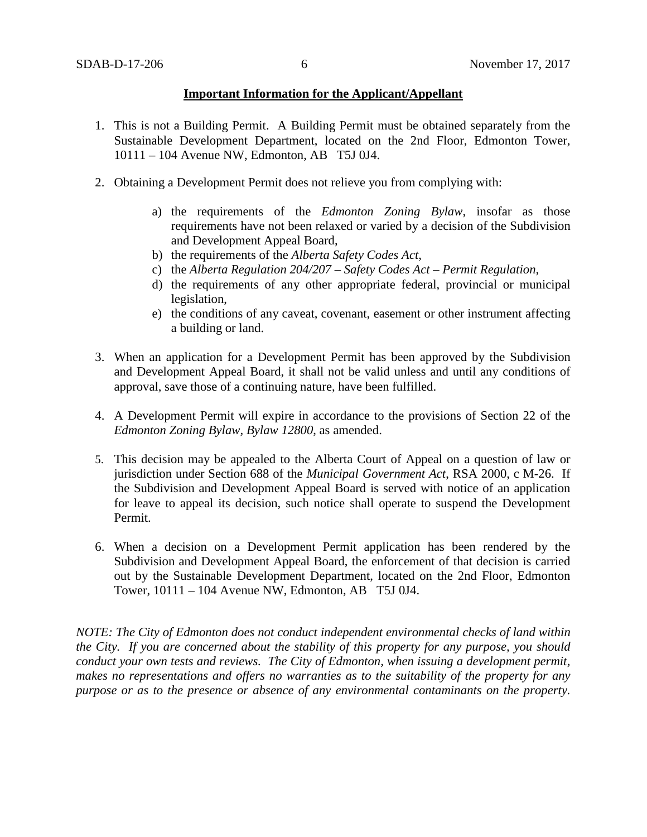## **Important Information for the Applicant/Appellant**

- 1. This is not a Building Permit. A Building Permit must be obtained separately from the Sustainable Development Department, located on the 2nd Floor, Edmonton Tower, 10111 – 104 Avenue NW, Edmonton, AB T5J 0J4.
- 2. Obtaining a Development Permit does not relieve you from complying with:
	- a) the requirements of the *Edmonton Zoning Bylaw*, insofar as those requirements have not been relaxed or varied by a decision of the Subdivision and Development Appeal Board,
	- b) the requirements of the *Alberta Safety Codes Act*,
	- c) the *Alberta Regulation 204/207 – Safety Codes Act – Permit Regulation*,
	- d) the requirements of any other appropriate federal, provincial or municipal legislation,
	- e) the conditions of any caveat, covenant, easement or other instrument affecting a building or land.
- 3. When an application for a Development Permit has been approved by the Subdivision and Development Appeal Board, it shall not be valid unless and until any conditions of approval, save those of a continuing nature, have been fulfilled.
- 4. A Development Permit will expire in accordance to the provisions of Section 22 of the *Edmonton Zoning Bylaw, Bylaw 12800*, as amended.
- 5. This decision may be appealed to the Alberta Court of Appeal on a question of law or jurisdiction under Section 688 of the *Municipal Government Act*, RSA 2000, c M-26. If the Subdivision and Development Appeal Board is served with notice of an application for leave to appeal its decision, such notice shall operate to suspend the Development Permit.
- 6. When a decision on a Development Permit application has been rendered by the Subdivision and Development Appeal Board, the enforcement of that decision is carried out by the Sustainable Development Department, located on the 2nd Floor, Edmonton Tower, 10111 – 104 Avenue NW, Edmonton, AB T5J 0J4.

*NOTE: The City of Edmonton does not conduct independent environmental checks of land within the City. If you are concerned about the stability of this property for any purpose, you should conduct your own tests and reviews. The City of Edmonton, when issuing a development permit, makes no representations and offers no warranties as to the suitability of the property for any purpose or as to the presence or absence of any environmental contaminants on the property.*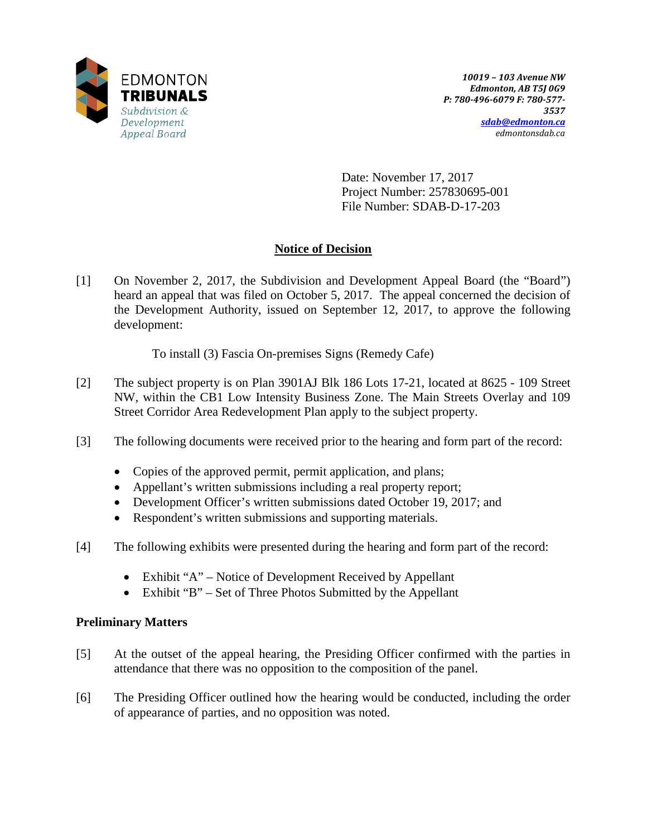

Date: November 17, 2017 Project Number: 257830695-001 File Number: SDAB-D-17-203

# **Notice of Decision**

[1] On November 2, 2017, the Subdivision and Development Appeal Board (the "Board") heard an appeal that was filed on October 5, 2017. The appeal concerned the decision of the Development Authority, issued on September 12, 2017, to approve the following development:

To install (3) Fascia On-premises Signs (Remedy Cafe)

- [2] The subject property is on Plan 3901AJ Blk 186 Lots 17-21, located at 8625 109 Street NW, within the CB1 Low Intensity Business Zone. The Main Streets Overlay and 109 Street Corridor Area Redevelopment Plan apply to the subject property.
- [3] The following documents were received prior to the hearing and form part of the record:
	- Copies of the approved permit, permit application, and plans;
	- Appellant's written submissions including a real property report;
	- Development Officer's written submissions dated October 19, 2017; and
	- Respondent's written submissions and supporting materials.
- [4] The following exhibits were presented during the hearing and form part of the record:
	- Exhibit "A" Notice of Development Received by Appellant
	- Exhibit "B" Set of Three Photos Submitted by the Appellant

## **Preliminary Matters**

- [5] At the outset of the appeal hearing, the Presiding Officer confirmed with the parties in attendance that there was no opposition to the composition of the panel.
- [6] The Presiding Officer outlined how the hearing would be conducted, including the order of appearance of parties, and no opposition was noted.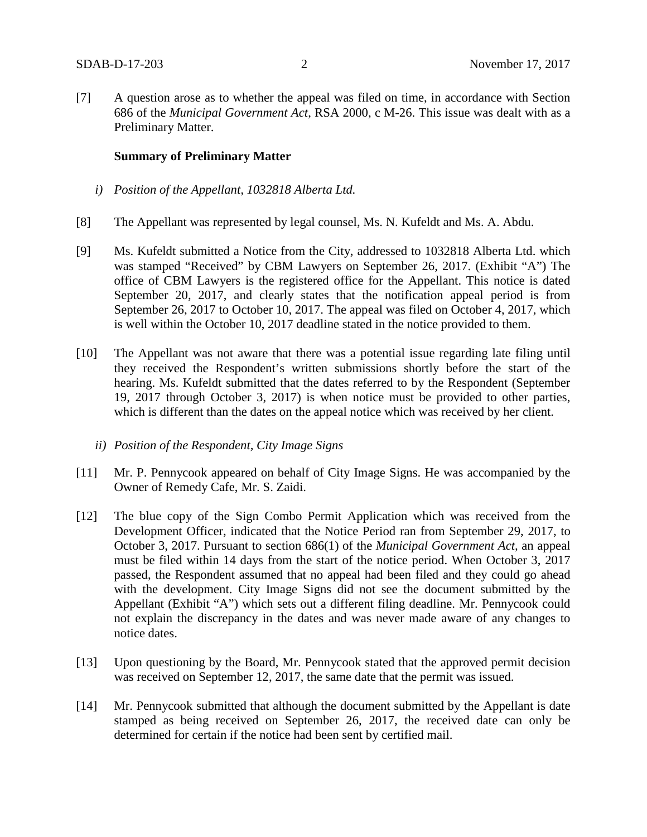[7] A question arose as to whether the appeal was filed on time, in accordance with Section 686 of the *Municipal Government Act*, RSA 2000, c M-26. This issue was dealt with as a Preliminary Matter.

#### **Summary of Preliminary Matter**

- *i) Position of the Appellant, 1032818 Alberta Ltd.*
- [8] The Appellant was represented by legal counsel, Ms. N. Kufeldt and Ms. A. Abdu.
- [9] Ms. Kufeldt submitted a Notice from the City, addressed to 1032818 Alberta Ltd. which was stamped "Received" by CBM Lawyers on September 26, 2017. (Exhibit "A") The office of CBM Lawyers is the registered office for the Appellant. This notice is dated September 20, 2017, and clearly states that the notification appeal period is from September 26, 2017 to October 10, 2017. The appeal was filed on October 4, 2017, which is well within the October 10, 2017 deadline stated in the notice provided to them.
- [10] The Appellant was not aware that there was a potential issue regarding late filing until they received the Respondent's written submissions shortly before the start of the hearing. Ms. Kufeldt submitted that the dates referred to by the Respondent (September 19, 2017 through October 3, 2017) is when notice must be provided to other parties, which is different than the dates on the appeal notice which was received by her client.
	- *ii) Position of the Respondent, City Image Signs*
- [11] Mr. P. Pennycook appeared on behalf of City Image Signs. He was accompanied by the Owner of Remedy Cafe, Mr. S. Zaidi.
- [12] The blue copy of the Sign Combo Permit Application which was received from the Development Officer, indicated that the Notice Period ran from September 29, 2017, to October 3, 2017. Pursuant to section 686(1) of the *Municipal Government Act,* an appeal must be filed within 14 days from the start of the notice period. When October 3, 2017 passed, the Respondent assumed that no appeal had been filed and they could go ahead with the development. City Image Signs did not see the document submitted by the Appellant (Exhibit "A") which sets out a different filing deadline. Mr. Pennycook could not explain the discrepancy in the dates and was never made aware of any changes to notice dates.
- [13] Upon questioning by the Board, Mr. Pennycook stated that the approved permit decision was received on September 12, 2017, the same date that the permit was issued.
- [14] Mr. Pennycook submitted that although the document submitted by the Appellant is date stamped as being received on September 26, 2017, the received date can only be determined for certain if the notice had been sent by certified mail.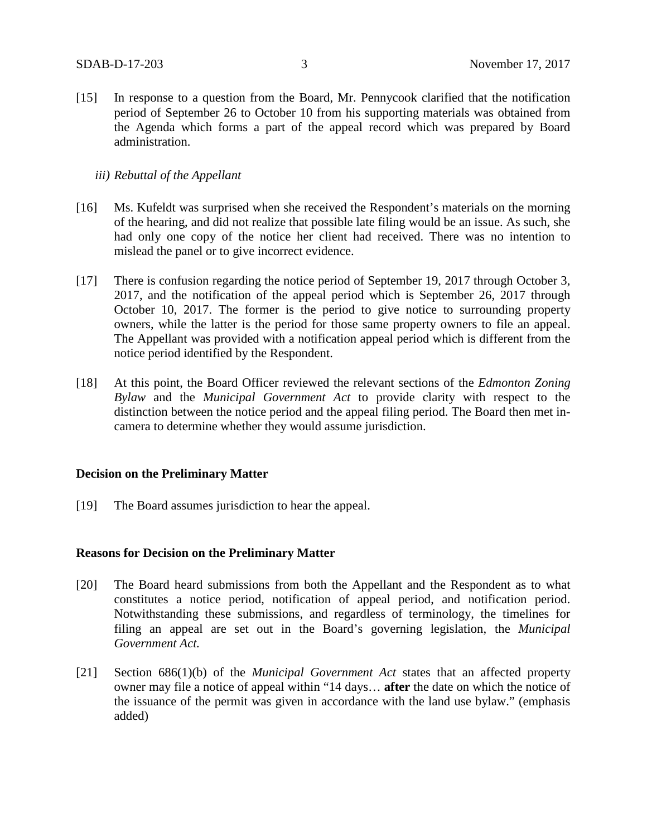[15] In response to a question from the Board, Mr. Pennycook clarified that the notification period of September 26 to October 10 from his supporting materials was obtained from the Agenda which forms a part of the appeal record which was prepared by Board administration.

## *iii) Rebuttal of the Appellant*

- [16] Ms. Kufeldt was surprised when she received the Respondent's materials on the morning of the hearing, and did not realize that possible late filing would be an issue. As such, she had only one copy of the notice her client had received. There was no intention to mislead the panel or to give incorrect evidence.
- [17] There is confusion regarding the notice period of September 19, 2017 through October 3, 2017, and the notification of the appeal period which is September 26, 2017 through October 10, 2017. The former is the period to give notice to surrounding property owners, while the latter is the period for those same property owners to file an appeal. The Appellant was provided with a notification appeal period which is different from the notice period identified by the Respondent.
- [18] At this point, the Board Officer reviewed the relevant sections of the *Edmonton Zoning Bylaw* and the *Municipal Government Act* to provide clarity with respect to the distinction between the notice period and the appeal filing period. The Board then met incamera to determine whether they would assume jurisdiction.

## **Decision on the Preliminary Matter**

[19] The Board assumes jurisdiction to hear the appeal.

## **Reasons for Decision on the Preliminary Matter**

- [20] The Board heard submissions from both the Appellant and the Respondent as to what constitutes a notice period, notification of appeal period, and notification period. Notwithstanding these submissions, and regardless of terminology, the timelines for filing an appeal are set out in the Board's governing legislation, the *Municipal Government Act.*
- [21] Section 686(1)(b) of the *Municipal Government Act* states that an affected property owner may file a notice of appeal within "14 days… **after** the date on which the notice of the issuance of the permit was given in accordance with the land use bylaw." (emphasis added)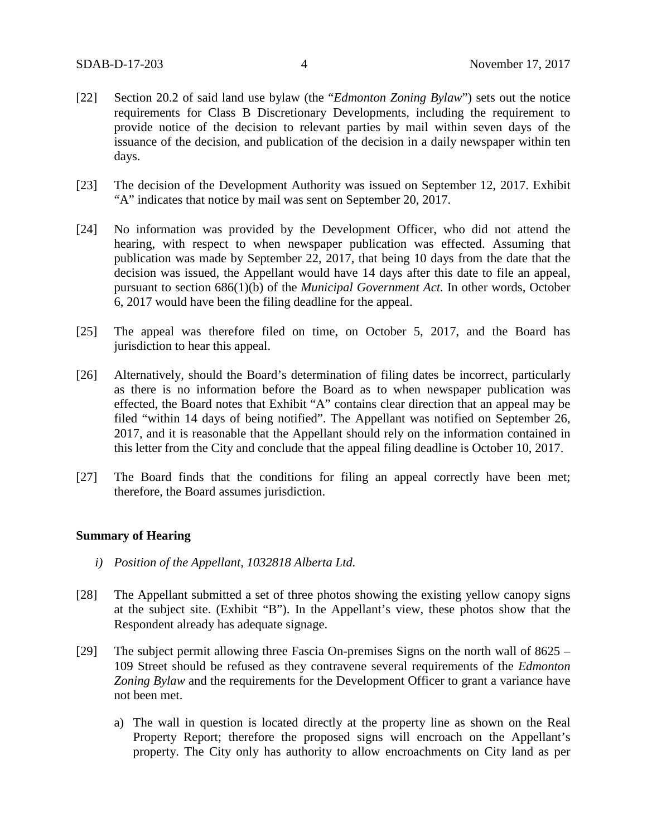- [22] Section 20.2 of said land use bylaw (the "*Edmonton Zoning Bylaw*") sets out the notice requirements for Class B Discretionary Developments, including the requirement to provide notice of the decision to relevant parties by mail within seven days of the issuance of the decision, and publication of the decision in a daily newspaper within ten days.
- [23] The decision of the Development Authority was issued on September 12, 2017. Exhibit "A" indicates that notice by mail was sent on September 20, 2017.
- [24] No information was provided by the Development Officer, who did not attend the hearing, with respect to when newspaper publication was effected. Assuming that publication was made by September 22, 2017, that being 10 days from the date that the decision was issued, the Appellant would have 14 days after this date to file an appeal, pursuant to section 686(1)(b) of the *Municipal Government Act.* In other words, October 6, 2017 would have been the filing deadline for the appeal.
- [25] The appeal was therefore filed on time, on October 5, 2017, and the Board has jurisdiction to hear this appeal.
- [26] Alternatively, should the Board's determination of filing dates be incorrect, particularly as there is no information before the Board as to when newspaper publication was effected, the Board notes that Exhibit "A" contains clear direction that an appeal may be filed "within 14 days of being notified". The Appellant was notified on September 26, 2017, and it is reasonable that the Appellant should rely on the information contained in this letter from the City and conclude that the appeal filing deadline is October 10, 2017.
- [27] The Board finds that the conditions for filing an appeal correctly have been met; therefore, the Board assumes jurisdiction.

## **Summary of Hearing**

- *i) Position of the Appellant, 1032818 Alberta Ltd.*
- [28] The Appellant submitted a set of three photos showing the existing yellow canopy signs at the subject site. (Exhibit "B"). In the Appellant's view, these photos show that the Respondent already has adequate signage.
- [29] The subject permit allowing three Fascia On-premises Signs on the north wall of 8625 109 Street should be refused as they contravene several requirements of the *Edmonton Zoning Bylaw* and the requirements for the Development Officer to grant a variance have not been met.
	- a) The wall in question is located directly at the property line as shown on the Real Property Report; therefore the proposed signs will encroach on the Appellant's property. The City only has authority to allow encroachments on City land as per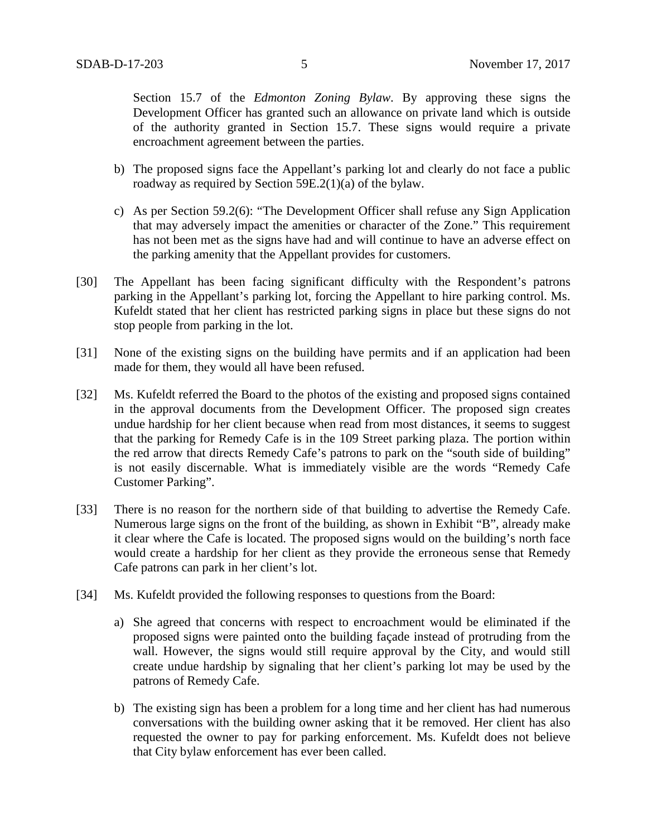Section 15.7 of the *Edmonton Zoning Bylaw*. By approving these signs the Development Officer has granted such an allowance on private land which is outside of the authority granted in Section 15.7. These signs would require a private encroachment agreement between the parties.

- b) The proposed signs face the Appellant's parking lot and clearly do not face a public roadway as required by Section 59E.2(1)(a) of the bylaw.
- c) As per Section 59.2(6): "The Development Officer shall refuse any Sign Application that may adversely impact the amenities or character of the Zone." This requirement has not been met as the signs have had and will continue to have an adverse effect on the parking amenity that the Appellant provides for customers.
- [30] The Appellant has been facing significant difficulty with the Respondent's patrons parking in the Appellant's parking lot, forcing the Appellant to hire parking control. Ms. Kufeldt stated that her client has restricted parking signs in place but these signs do not stop people from parking in the lot.
- [31] None of the existing signs on the building have permits and if an application had been made for them, they would all have been refused.
- [32] Ms. Kufeldt referred the Board to the photos of the existing and proposed signs contained in the approval documents from the Development Officer. The proposed sign creates undue hardship for her client because when read from most distances, it seems to suggest that the parking for Remedy Cafe is in the 109 Street parking plaza. The portion within the red arrow that directs Remedy Cafe's patrons to park on the "south side of building" is not easily discernable. What is immediately visible are the words "Remedy Cafe Customer Parking".
- [33] There is no reason for the northern side of that building to advertise the Remedy Cafe. Numerous large signs on the front of the building, as shown in Exhibit "B", already make it clear where the Cafe is located. The proposed signs would on the building's north face would create a hardship for her client as they provide the erroneous sense that Remedy Cafe patrons can park in her client's lot.
- [34] Ms. Kufeldt provided the following responses to questions from the Board:
	- a) She agreed that concerns with respect to encroachment would be eliminated if the proposed signs were painted onto the building façade instead of protruding from the wall. However, the signs would still require approval by the City, and would still create undue hardship by signaling that her client's parking lot may be used by the patrons of Remedy Cafe.
	- b) The existing sign has been a problem for a long time and her client has had numerous conversations with the building owner asking that it be removed. Her client has also requested the owner to pay for parking enforcement. Ms. Kufeldt does not believe that City bylaw enforcement has ever been called.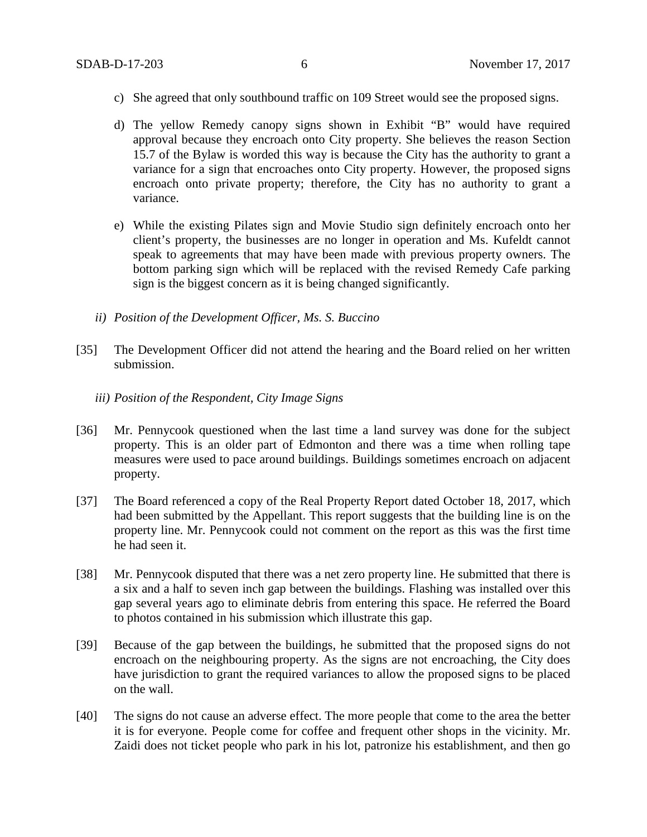- c) She agreed that only southbound traffic on 109 Street would see the proposed signs.
- d) The yellow Remedy canopy signs shown in Exhibit "B" would have required approval because they encroach onto City property. She believes the reason Section 15.7 of the Bylaw is worded this way is because the City has the authority to grant a variance for a sign that encroaches onto City property. However, the proposed signs encroach onto private property; therefore, the City has no authority to grant a variance.
- e) While the existing Pilates sign and Movie Studio sign definitely encroach onto her client's property, the businesses are no longer in operation and Ms. Kufeldt cannot speak to agreements that may have been made with previous property owners. The bottom parking sign which will be replaced with the revised Remedy Cafe parking sign is the biggest concern as it is being changed significantly.
- *ii) Position of the Development Officer, Ms. S. Buccino*
- [35] The Development Officer did not attend the hearing and the Board relied on her written submission.
	- *iii) Position of the Respondent, City Image Signs*
- [36] Mr. Pennycook questioned when the last time a land survey was done for the subject property. This is an older part of Edmonton and there was a time when rolling tape measures were used to pace around buildings. Buildings sometimes encroach on adjacent property.
- [37] The Board referenced a copy of the Real Property Report dated October 18, 2017, which had been submitted by the Appellant. This report suggests that the building line is on the property line. Mr. Pennycook could not comment on the report as this was the first time he had seen it.
- [38] Mr. Pennycook disputed that there was a net zero property line. He submitted that there is a six and a half to seven inch gap between the buildings. Flashing was installed over this gap several years ago to eliminate debris from entering this space. He referred the Board to photos contained in his submission which illustrate this gap.
- [39] Because of the gap between the buildings, he submitted that the proposed signs do not encroach on the neighbouring property. As the signs are not encroaching, the City does have jurisdiction to grant the required variances to allow the proposed signs to be placed on the wall.
- [40] The signs do not cause an adverse effect. The more people that come to the area the better it is for everyone. People come for coffee and frequent other shops in the vicinity. Mr. Zaidi does not ticket people who park in his lot, patronize his establishment, and then go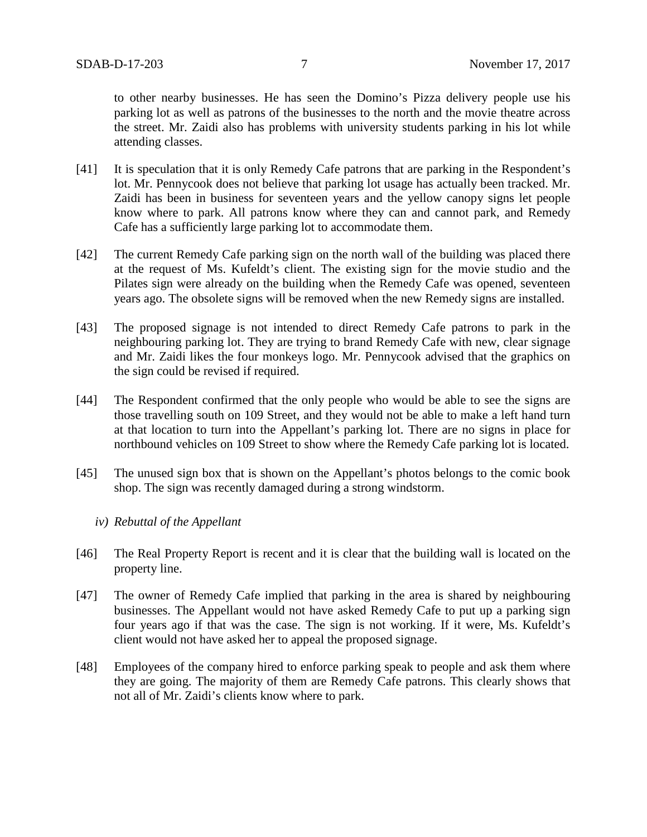to other nearby businesses. He has seen the Domino's Pizza delivery people use his parking lot as well as patrons of the businesses to the north and the movie theatre across the street. Mr. Zaidi also has problems with university students parking in his lot while attending classes.

- [41] It is speculation that it is only Remedy Cafe patrons that are parking in the Respondent's lot. Mr. Pennycook does not believe that parking lot usage has actually been tracked. Mr. Zaidi has been in business for seventeen years and the yellow canopy signs let people know where to park. All patrons know where they can and cannot park, and Remedy Cafe has a sufficiently large parking lot to accommodate them.
- [42] The current Remedy Cafe parking sign on the north wall of the building was placed there at the request of Ms. Kufeldt's client. The existing sign for the movie studio and the Pilates sign were already on the building when the Remedy Cafe was opened, seventeen years ago. The obsolete signs will be removed when the new Remedy signs are installed.
- [43] The proposed signage is not intended to direct Remedy Cafe patrons to park in the neighbouring parking lot. They are trying to brand Remedy Cafe with new, clear signage and Mr. Zaidi likes the four monkeys logo. Mr. Pennycook advised that the graphics on the sign could be revised if required.
- [44] The Respondent confirmed that the only people who would be able to see the signs are those travelling south on 109 Street, and they would not be able to make a left hand turn at that location to turn into the Appellant's parking lot. There are no signs in place for northbound vehicles on 109 Street to show where the Remedy Cafe parking lot is located.
- [45] The unused sign box that is shown on the Appellant's photos belongs to the comic book shop. The sign was recently damaged during a strong windstorm.
	- *iv) Rebuttal of the Appellant*
- [46] The Real Property Report is recent and it is clear that the building wall is located on the property line.
- [47] The owner of Remedy Cafe implied that parking in the area is shared by neighbouring businesses. The Appellant would not have asked Remedy Cafe to put up a parking sign four years ago if that was the case. The sign is not working. If it were, Ms. Kufeldt's client would not have asked her to appeal the proposed signage.
- [48] Employees of the company hired to enforce parking speak to people and ask them where they are going. The majority of them are Remedy Cafe patrons. This clearly shows that not all of Mr. Zaidi's clients know where to park.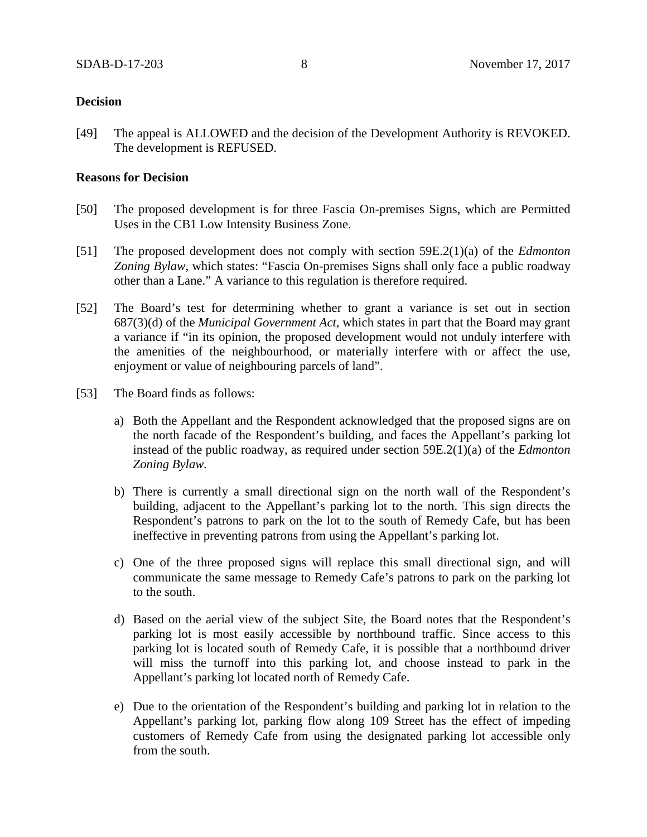## **Decision**

[49] The appeal is ALLOWED and the decision of the Development Authority is REVOKED. The development is REFUSED.

## **Reasons for Decision**

- [50] The proposed development is for three Fascia On-premises Signs, which are Permitted Uses in the CB1 Low Intensity Business Zone.
- [51] The proposed development does not comply with section 59E.2(1)(a) of the *Edmonton Zoning Bylaw*, which states: "Fascia On-premises Signs shall only face a public roadway other than a Lane." A variance to this regulation is therefore required.
- [52] The Board's test for determining whether to grant a variance is set out in section 687(3)(d) of the *Municipal Government Act,* which states in part that the Board may grant a variance if "in its opinion, the proposed development would not unduly interfere with the amenities of the neighbourhood, or materially interfere with or affect the use, enjoyment or value of neighbouring parcels of land".
- [53] The Board finds as follows:
	- a) Both the Appellant and the Respondent acknowledged that the proposed signs are on the north facade of the Respondent's building, and faces the Appellant's parking lot instead of the public roadway, as required under section 59E.2(1)(a) of the *Edmonton Zoning Bylaw.*
	- b) There is currently a small directional sign on the north wall of the Respondent's building, adjacent to the Appellant's parking lot to the north. This sign directs the Respondent's patrons to park on the lot to the south of Remedy Cafe, but has been ineffective in preventing patrons from using the Appellant's parking lot.
	- c) One of the three proposed signs will replace this small directional sign, and will communicate the same message to Remedy Cafe's patrons to park on the parking lot to the south.
	- d) Based on the aerial view of the subject Site, the Board notes that the Respondent's parking lot is most easily accessible by northbound traffic. Since access to this parking lot is located south of Remedy Cafe, it is possible that a northbound driver will miss the turnoff into this parking lot, and choose instead to park in the Appellant's parking lot located north of Remedy Cafe.
	- e) Due to the orientation of the Respondent's building and parking lot in relation to the Appellant's parking lot, parking flow along 109 Street has the effect of impeding customers of Remedy Cafe from using the designated parking lot accessible only from the south.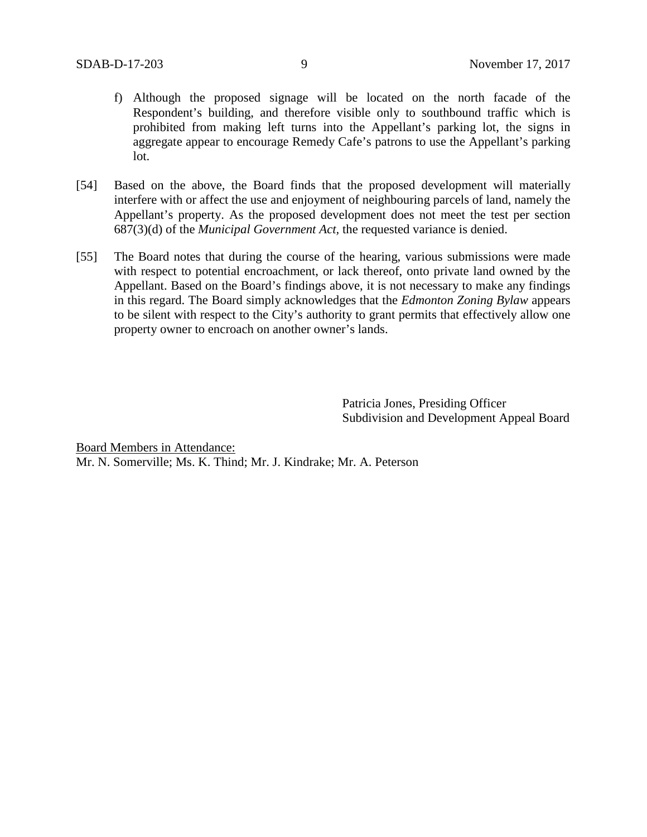- f) Although the proposed signage will be located on the north facade of the Respondent's building, and therefore visible only to southbound traffic which is prohibited from making left turns into the Appellant's parking lot, the signs in aggregate appear to encourage Remedy Cafe's patrons to use the Appellant's parking lot.
- [54] Based on the above, the Board finds that the proposed development will materially interfere with or affect the use and enjoyment of neighbouring parcels of land, namely the Appellant's property. As the proposed development does not meet the test per section 687(3)(d) of the *Municipal Government Act,* the requested variance is denied.
- [55] The Board notes that during the course of the hearing, various submissions were made with respect to potential encroachment, or lack thereof, onto private land owned by the Appellant. Based on the Board's findings above, it is not necessary to make any findings in this regard. The Board simply acknowledges that the *Edmonton Zoning Bylaw* appears to be silent with respect to the City's authority to grant permits that effectively allow one property owner to encroach on another owner's lands.

Patricia Jones, Presiding Officer Subdivision and Development Appeal Board

Board Members in Attendance: Mr. N. Somerville; Ms. K. Thind; Mr. J. Kindrake; Mr. A. Peterson